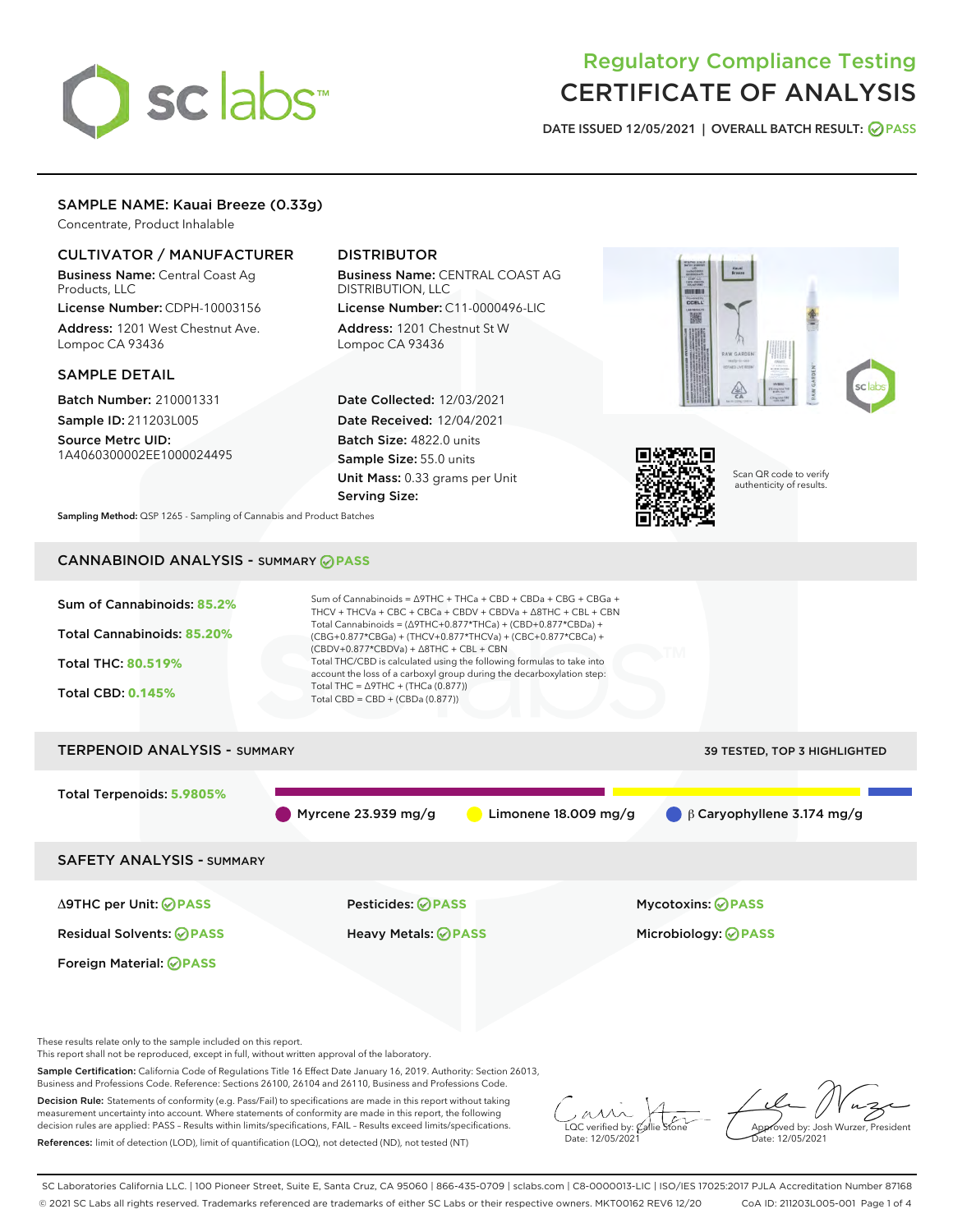# sclabs

# Regulatory Compliance Testing CERTIFICATE OF ANALYSIS

DATE ISSUED 12/05/2021 | OVERALL BATCH RESULT: @ PASS

# SAMPLE NAME: Kauai Breeze (0.33g)

Concentrate, Product Inhalable

# CULTIVATOR / MANUFACTURER

Business Name: Central Coast Ag Products, LLC

License Number: CDPH-10003156 Address: 1201 West Chestnut Ave. Lompoc CA 93436

# SAMPLE DETAIL

Batch Number: 210001331 Sample ID: 211203L005

Source Metrc UID: 1A4060300002EE1000024495

# DISTRIBUTOR

Business Name: CENTRAL COAST AG DISTRIBUTION, LLC License Number: C11-0000496-LIC

Address: 1201 Chestnut St W Lompoc CA 93436

Date Collected: 12/03/2021 Date Received: 12/04/2021 Batch Size: 4822.0 units Sample Size: 55.0 units Unit Mass: 0.33 grams per Unit Serving Size:





Scan QR code to verify authenticity of results.

Sampling Method: QSP 1265 - Sampling of Cannabis and Product Batches

# CANNABINOID ANALYSIS - SUMMARY **PASS**



These results relate only to the sample included on this report.

This report shall not be reproduced, except in full, without written approval of the laboratory.

Sample Certification: California Code of Regulations Title 16 Effect Date January 16, 2019. Authority: Section 26013, Business and Professions Code. Reference: Sections 26100, 26104 and 26110, Business and Professions Code.

Decision Rule: Statements of conformity (e.g. Pass/Fail) to specifications are made in this report without taking measurement uncertainty into account. Where statements of conformity are made in this report, the following decision rules are applied: PASS – Results within limits/specifications, FAIL – Results exceed limits/specifications. References: limit of detection (LOD), limit of quantification (LOQ), not detected (ND), not tested (NT)

 $\overline{\text{C}}$  verified by:  $\mathcal C$ Date: 12/05/2021

Approved by: Josh Wurzer, President ate: 12/05/2021

SC Laboratories California LLC. | 100 Pioneer Street, Suite E, Santa Cruz, CA 95060 | 866-435-0709 | sclabs.com | C8-0000013-LIC | ISO/IES 17025:2017 PJLA Accreditation Number 87168 © 2021 SC Labs all rights reserved. Trademarks referenced are trademarks of either SC Labs or their respective owners. MKT00162 REV6 12/20 CoA ID: 211203L005-001 Page 1 of 4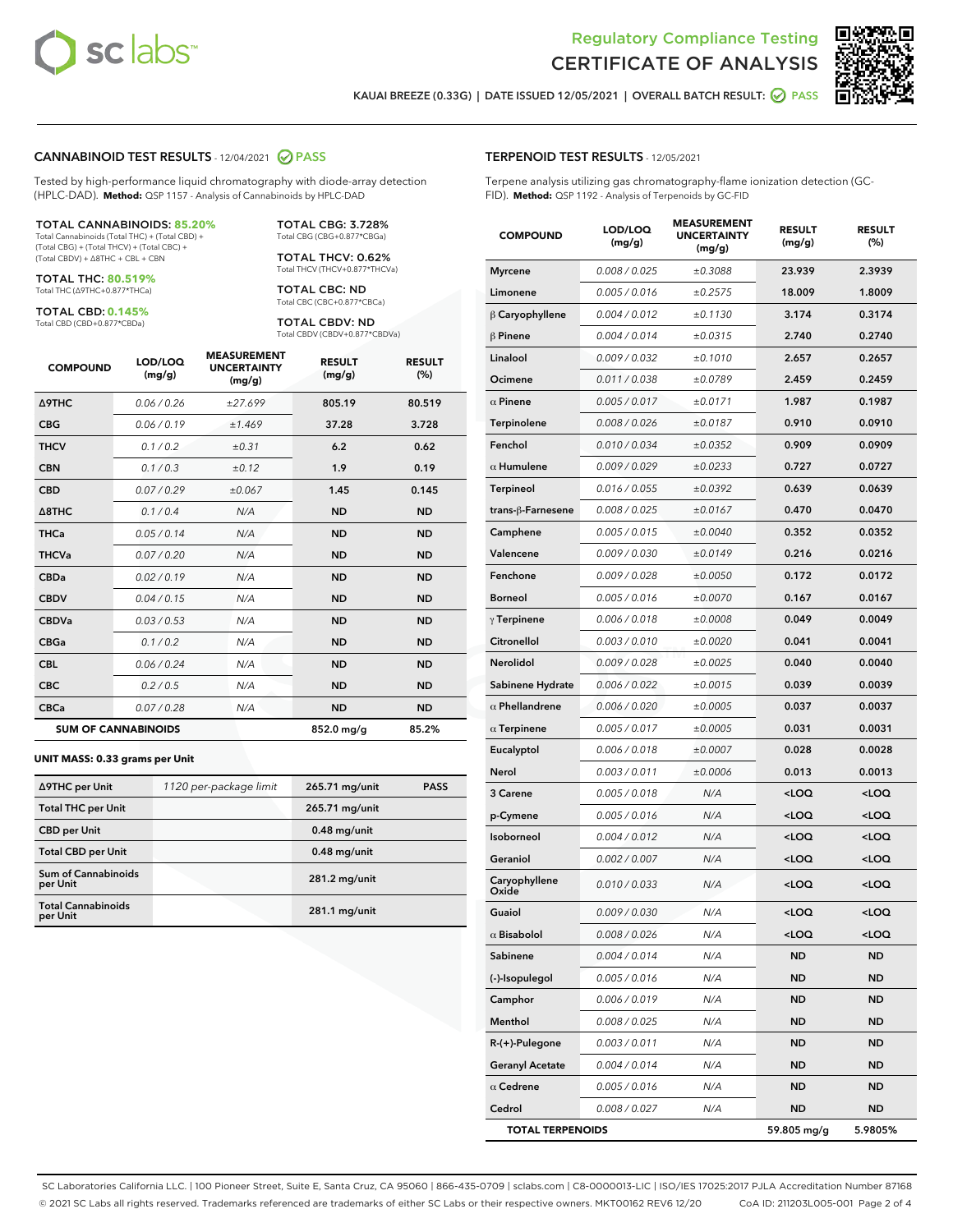



KAUAI BREEZE (0.33G) | DATE ISSUED 12/05/2021 | OVERALL BATCH RESULT: 2 PASS

#### CANNABINOID TEST RESULTS - 12/04/2021 2 PASS

Tested by high-performance liquid chromatography with diode-array detection (HPLC-DAD). **Method:** QSP 1157 - Analysis of Cannabinoids by HPLC-DAD

#### TOTAL CANNABINOIDS: **85.20%**

Total Cannabinoids (Total THC) + (Total CBD) + (Total CBG) + (Total THCV) + (Total CBC) + (Total CBDV) + ∆8THC + CBL + CBN

TOTAL THC: **80.519%** Total THC (∆9THC+0.877\*THCa)

TOTAL CBD: **0.145%** Total CBD (CBD+0.877\*CBDa)

Total CBG (CBG+0.877\*CBGa) TOTAL THCV: 0.62%

Total THCV (THCV+0.877\*THCVa) TOTAL CBC: ND Total CBC (CBC+0.877\*CBCa)

TOTAL CBG: 3.728%

TOTAL CBDV: ND Total CBDV (CBDV+0.877\*CBDVa)

| <b>COMPOUND</b>  | LOD/LOQ<br>(mg/g)          | <b>MEASUREMENT</b><br><b>UNCERTAINTY</b><br>(mg/g) | <b>RESULT</b><br>(mg/g) | <b>RESULT</b><br>(%) |
|------------------|----------------------------|----------------------------------------------------|-------------------------|----------------------|
| <b>A9THC</b>     | 0.06 / 0.26                | ±27.699                                            | 805.19                  | 80.519               |
| <b>CBG</b>       | 0.06/0.19                  | ±1.469                                             | 37.28                   | 3.728                |
| <b>THCV</b>      | 0.1 / 0.2                  | ±0.31                                              | 6.2                     | 0.62                 |
| <b>CBN</b>       | 0.1 / 0.3                  | ±0.12                                              | 1.9                     | 0.19                 |
| <b>CBD</b>       | 0.07/0.29                  | ±0.067                                             | 1.45                    | 0.145                |
| $\triangle$ 8THC | 0.1 / 0.4                  | N/A                                                | <b>ND</b>               | <b>ND</b>            |
| <b>THCa</b>      | 0.05/0.14                  | N/A                                                | <b>ND</b>               | <b>ND</b>            |
| <b>THCVa</b>     | 0.07/0.20                  | N/A                                                | <b>ND</b>               | <b>ND</b>            |
| <b>CBDa</b>      | 0.02/0.19                  | N/A                                                | <b>ND</b>               | <b>ND</b>            |
| <b>CBDV</b>      | 0.04/0.15                  | N/A                                                | <b>ND</b>               | <b>ND</b>            |
| <b>CBDVa</b>     | 0.03/0.53                  | N/A                                                | <b>ND</b>               | <b>ND</b>            |
| <b>CBGa</b>      | 0.1/0.2                    | N/A                                                | <b>ND</b>               | <b>ND</b>            |
| <b>CBL</b>       | 0.06 / 0.24                | N/A                                                | <b>ND</b>               | <b>ND</b>            |
| <b>CBC</b>       | 0.2 / 0.5                  | N/A                                                | <b>ND</b>               | <b>ND</b>            |
| <b>CBCa</b>      | 0.07 / 0.28                | N/A                                                | <b>ND</b>               | <b>ND</b>            |
|                  | <b>SUM OF CANNABINOIDS</b> |                                                    | 852.0 mg/g              | 85.2%                |

#### **UNIT MASS: 0.33 grams per Unit**

| ∆9THC per Unit                         | 1120 per-package limit | 265.71 mg/unit  | <b>PASS</b> |
|----------------------------------------|------------------------|-----------------|-------------|
| <b>Total THC per Unit</b>              |                        | 265.71 mg/unit  |             |
| <b>CBD per Unit</b>                    |                        | $0.48$ mg/unit  |             |
| <b>Total CBD per Unit</b>              |                        | $0.48$ mg/unit  |             |
| <b>Sum of Cannabinoids</b><br>per Unit |                        | 281.2 mg/unit   |             |
| <b>Total Cannabinoids</b><br>per Unit  |                        | $281.1$ mg/unit |             |

#### TERPENOID TEST RESULTS - 12/05/2021

Terpene analysis utilizing gas chromatography-flame ionization detection (GC-FID). **Method:** QSP 1192 - Analysis of Terpenoids by GC-FID

| <b>COMPOUND</b>         | LOD/LOQ<br>(mg/g) | <b>MEASUREMENT</b><br><b>UNCERTAINTY</b><br>(mg/g) | <b>RESULT</b><br>(mg/g)                          | <b>RESULT</b><br>$(\%)$ |
|-------------------------|-------------------|----------------------------------------------------|--------------------------------------------------|-------------------------|
| <b>Myrcene</b>          | 0.008 / 0.025     | ±0.3088                                            | 23.939                                           | 2.3939                  |
| Limonene                | 0.005 / 0.016     | ±0.2575                                            | 18.009                                           | 1.8009                  |
| $\beta$ Caryophyllene   | 0.004 / 0.012     | ±0.1130                                            | 3.174                                            | 0.3174                  |
| $\beta$ Pinene          | 0.004 / 0.014     | ±0.0315                                            | 2.740                                            | 0.2740                  |
| Linalool                | 0.009 / 0.032     | ±0.1010                                            | 2.657                                            | 0.2657                  |
| Ocimene                 | 0.011 / 0.038     | ±0.0789                                            | 2.459                                            | 0.2459                  |
| $\alpha$ Pinene         | 0.005 / 0.017     | ±0.0171                                            | 1.987                                            | 0.1987                  |
| Terpinolene             | 0.008 / 0.026     | ±0.0187                                            | 0.910                                            | 0.0910                  |
| Fenchol                 | 0.010 / 0.034     | ±0.0352                                            | 0.909                                            | 0.0909                  |
| $\alpha$ Humulene       | 0.009 / 0.029     | ±0.0233                                            | 0.727                                            | 0.0727                  |
| <b>Terpineol</b>        | 0.016 / 0.055     | ±0.0392                                            | 0.639                                            | 0.0639                  |
| trans-ß-Farnesene       | 0.008 / 0.025     | ±0.0167                                            | 0.470                                            | 0.0470                  |
| Camphene                | 0.005 / 0.015     | ±0.0040                                            | 0.352                                            | 0.0352                  |
| Valencene               | 0.009 / 0.030     | ±0.0149                                            | 0.216                                            | 0.0216                  |
| Fenchone                | 0.009 / 0.028     | ±0.0050                                            | 0.172                                            | 0.0172                  |
| Borneol                 | 0.005 / 0.016     | ±0.0070                                            | 0.167                                            | 0.0167                  |
| $\gamma$ Terpinene      | 0.006 / 0.018     | ±0.0008                                            | 0.049                                            | 0.0049                  |
| <b>Citronellol</b>      | 0.003 / 0.010     | ±0.0020                                            | 0.041                                            | 0.0041                  |
| Nerolidol               | 0.009 / 0.028     | ±0.0025                                            | 0.040                                            | 0.0040                  |
| Sabinene Hydrate        | 0.006 / 0.022     | ±0.0015                                            | 0.039                                            | 0.0039                  |
| $\alpha$ Phellandrene   | 0.006 / 0.020     | ±0.0005                                            | 0.037                                            | 0.0037                  |
| $\alpha$ Terpinene      | 0.005 / 0.017     | ±0.0005                                            | 0.031                                            | 0.0031                  |
| Eucalyptol              | 0.006 / 0.018     | ±0.0007                                            | 0.028                                            | 0.0028                  |
| Nerol                   | 0.003 / 0.011     | ±0.0006                                            | 0.013                                            | 0.0013                  |
| 3 Carene                | 0.005 / 0.018     | N/A                                                | <loq< th=""><th><math>&lt;</math>LOQ</th></loq<> | $<$ LOQ                 |
| p-Cymene                | 0.005 / 0.016     | N/A                                                | <loq< th=""><th><loq< th=""></loq<></th></loq<>  | <loq< th=""></loq<>     |
| Isoborneol              | 0.004 / 0.012     | N/A                                                | <loq< th=""><th><loq< th=""></loq<></th></loq<>  | <loq< th=""></loq<>     |
| Geraniol                | 0.002 / 0.007     | N/A                                                | <loq< th=""><th><loq< th=""></loq<></th></loq<>  | <loq< th=""></loq<>     |
| Caryophyllene<br>Oxide  | 0.010 / 0.033     | N/A                                                | <loq< th=""><th><loq< th=""></loq<></th></loq<>  | <loq< th=""></loq<>     |
| Guaiol                  | 0.009 / 0.030     | N/A                                                | <loo< th=""><th><loo< th=""></loo<></th></loo<>  | <loo< th=""></loo<>     |
| $\alpha$ Bisabolol      | 0.008 / 0.026     | N/A                                                | <loq< th=""><th><loq< th=""></loq<></th></loq<>  | <loq< th=""></loq<>     |
| Sabinene                | 0.004 / 0.014     | N/A                                                | ND                                               | ND                      |
| (-)-Isopulegol          | 0.005 / 0.016     | N/A                                                | ND                                               | ND                      |
| Camphor                 | 0.006 / 0.019     | N/A                                                | ND                                               | <b>ND</b>               |
| Menthol                 | 0.008 / 0.025     | N/A                                                | ND                                               | ND                      |
| $R-(+)$ -Pulegone       | 0.003 / 0.011     | N/A                                                | ND                                               | ND                      |
| <b>Geranyl Acetate</b>  | 0.004 / 0.014     | N/A                                                | ND                                               | ND                      |
| $\alpha$ Cedrene        | 0.005 / 0.016     | N/A                                                | ND                                               | ND                      |
| Cedrol                  | 0.008 / 0.027     | N/A                                                | ND                                               | ND                      |
| <b>TOTAL TERPENOIDS</b> |                   |                                                    | 59.805 mg/g                                      | 5.9805%                 |

SC Laboratories California LLC. | 100 Pioneer Street, Suite E, Santa Cruz, CA 95060 | 866-435-0709 | sclabs.com | C8-0000013-LIC | ISO/IES 17025:2017 PJLA Accreditation Number 87168 © 2021 SC Labs all rights reserved. Trademarks referenced are trademarks of either SC Labs or their respective owners. MKT00162 REV6 12/20 CoA ID: 211203L005-001 Page 2 of 4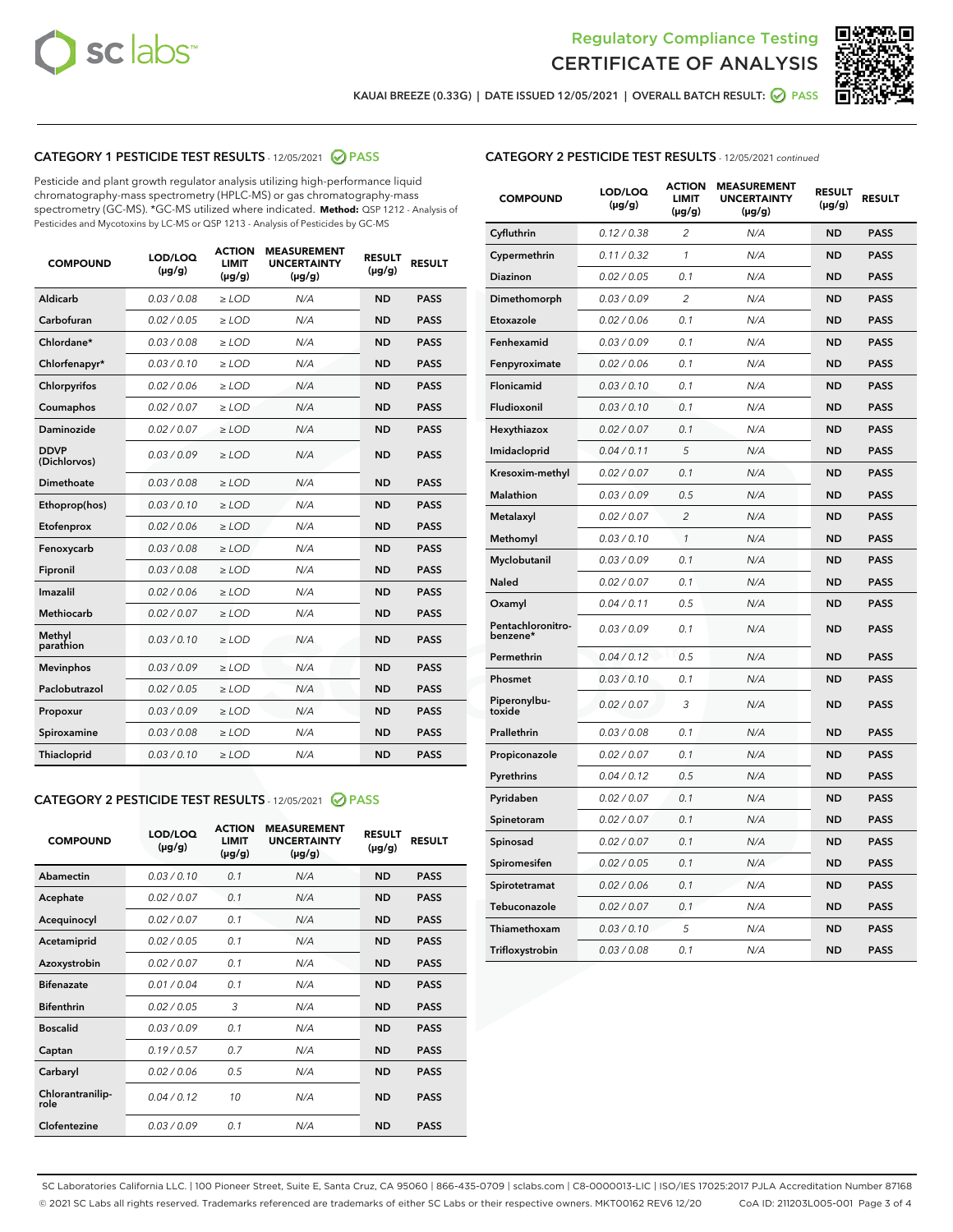



KAUAI BREEZE (0.33G) | DATE ISSUED 12/05/2021 | OVERALL BATCH RESULT:  $\bigcirc$  PASS

# CATEGORY 1 PESTICIDE TEST RESULTS - 12/05/2021 2 PASS

Pesticide and plant growth regulator analysis utilizing high-performance liquid chromatography-mass spectrometry (HPLC-MS) or gas chromatography-mass spectrometry (GC-MS). \*GC-MS utilized where indicated. **Method:** QSP 1212 - Analysis of Pesticides and Mycotoxins by LC-MS or QSP 1213 - Analysis of Pesticides by GC-MS

| <b>COMPOUND</b>             | LOD/LOQ<br>$(\mu g/g)$ | <b>ACTION</b><br><b>LIMIT</b><br>$(\mu q/q)$ | <b>MEASUREMENT</b><br><b>UNCERTAINTY</b><br>$(\mu g/g)$ | <b>RESULT</b><br>$(\mu g/g)$ | <b>RESULT</b> |
|-----------------------------|------------------------|----------------------------------------------|---------------------------------------------------------|------------------------------|---------------|
| Aldicarb                    | 0.03 / 0.08            | $\ge$ LOD                                    | N/A                                                     | <b>ND</b>                    | <b>PASS</b>   |
| Carbofuran                  | 0.02 / 0.05            | $\ge$ LOD                                    | N/A                                                     | <b>ND</b>                    | <b>PASS</b>   |
| Chlordane*                  | 0.03 / 0.08            | $\ge$ LOD                                    | N/A                                                     | <b>ND</b>                    | <b>PASS</b>   |
| Chlorfenapyr*               | 0.03/0.10              | $\ge$ LOD                                    | N/A                                                     | <b>ND</b>                    | <b>PASS</b>   |
| Chlorpyrifos                | 0.02 / 0.06            | $\ge$ LOD                                    | N/A                                                     | <b>ND</b>                    | <b>PASS</b>   |
| Coumaphos                   | 0.02 / 0.07            | $\ge$ LOD                                    | N/A                                                     | <b>ND</b>                    | <b>PASS</b>   |
| <b>Daminozide</b>           | 0.02 / 0.07            | $\ge$ LOD                                    | N/A                                                     | <b>ND</b>                    | <b>PASS</b>   |
| <b>DDVP</b><br>(Dichlorvos) | 0.03/0.09              | $\ge$ LOD                                    | N/A                                                     | <b>ND</b>                    | <b>PASS</b>   |
| Dimethoate                  | 0.03 / 0.08            | $\ge$ LOD                                    | N/A                                                     | <b>ND</b>                    | <b>PASS</b>   |
| Ethoprop(hos)               | 0.03/0.10              | $\ge$ LOD                                    | N/A                                                     | <b>ND</b>                    | <b>PASS</b>   |
| Etofenprox                  | 0.02 / 0.06            | $\ge$ LOD                                    | N/A                                                     | <b>ND</b>                    | <b>PASS</b>   |
| Fenoxycarb                  | 0.03 / 0.08            | $\ge$ LOD                                    | N/A                                                     | <b>ND</b>                    | <b>PASS</b>   |
| Fipronil                    | 0.03 / 0.08            | $\ge$ LOD                                    | N/A                                                     | <b>ND</b>                    | <b>PASS</b>   |
| Imazalil                    | 0.02 / 0.06            | $\ge$ LOD                                    | N/A                                                     | <b>ND</b>                    | <b>PASS</b>   |
| Methiocarb                  | 0.02 / 0.07            | $\ge$ LOD                                    | N/A                                                     | <b>ND</b>                    | <b>PASS</b>   |
| Methyl<br>parathion         | 0.03/0.10              | $\ge$ LOD                                    | N/A                                                     | <b>ND</b>                    | <b>PASS</b>   |
| <b>Mevinphos</b>            | 0.03/0.09              | $\ge$ LOD                                    | N/A                                                     | <b>ND</b>                    | <b>PASS</b>   |
| Paclobutrazol               | 0.02 / 0.05            | $\ge$ LOD                                    | N/A                                                     | <b>ND</b>                    | <b>PASS</b>   |
| Propoxur                    | 0.03/0.09              | $\ge$ LOD                                    | N/A                                                     | <b>ND</b>                    | <b>PASS</b>   |
| Spiroxamine                 | 0.03 / 0.08            | $\ge$ LOD                                    | N/A                                                     | <b>ND</b>                    | <b>PASS</b>   |
| Thiacloprid                 | 0.03/0.10              | $\ge$ LOD                                    | N/A                                                     | <b>ND</b>                    | <b>PASS</b>   |
|                             |                        |                                              |                                                         |                              |               |

#### CATEGORY 2 PESTICIDE TEST RESULTS - 12/05/2021 @ PASS

| <b>COMPOUND</b>          | LOD/LOO<br>$(\mu g/g)$ | <b>ACTION</b><br>LIMIT<br>$(\mu g/g)$ | <b>MEASUREMENT</b><br><b>UNCERTAINTY</b><br>$(\mu g/g)$ | <b>RESULT</b><br>$(\mu g/g)$ | <b>RESULT</b> |
|--------------------------|------------------------|---------------------------------------|---------------------------------------------------------|------------------------------|---------------|
| Abamectin                | 0.03/0.10              | 0.1                                   | N/A                                                     | <b>ND</b>                    | <b>PASS</b>   |
| Acephate                 | 0.02/0.07              | 0.1                                   | N/A                                                     | <b>ND</b>                    | <b>PASS</b>   |
| Acequinocyl              | 0.02/0.07              | 0.1                                   | N/A                                                     | <b>ND</b>                    | <b>PASS</b>   |
| Acetamiprid              | 0.02/0.05              | 0.1                                   | N/A                                                     | <b>ND</b>                    | <b>PASS</b>   |
| Azoxystrobin             | 0.02/0.07              | 0.1                                   | N/A                                                     | <b>ND</b>                    | <b>PASS</b>   |
| <b>Bifenazate</b>        | 0.01/0.04              | 0.1                                   | N/A                                                     | <b>ND</b>                    | <b>PASS</b>   |
| <b>Bifenthrin</b>        | 0.02 / 0.05            | 3                                     | N/A                                                     | <b>ND</b>                    | <b>PASS</b>   |
| <b>Boscalid</b>          | 0.03/0.09              | 0.1                                   | N/A                                                     | <b>ND</b>                    | <b>PASS</b>   |
| Captan                   | 0.19/0.57              | 0.7                                   | N/A                                                     | <b>ND</b>                    | <b>PASS</b>   |
| Carbaryl                 | 0.02/0.06              | 0.5                                   | N/A                                                     | <b>ND</b>                    | <b>PASS</b>   |
| Chlorantranilip-<br>role | 0.04/0.12              | 10                                    | N/A                                                     | <b>ND</b>                    | <b>PASS</b>   |
| Clofentezine             | 0.03/0.09              | 0.1                                   | N/A                                                     | <b>ND</b>                    | <b>PASS</b>   |

# CATEGORY 2 PESTICIDE TEST RESULTS - 12/05/2021 continued

| <b>COMPOUND</b>               | LOD/LOQ<br>(µg/g) | <b>ACTION</b><br><b>LIMIT</b><br>(µg/g) | <b>MEASUREMENT</b><br><b>UNCERTAINTY</b><br>$(\mu g/g)$ | <b>RESULT</b><br>(µg/g) | <b>RESULT</b> |
|-------------------------------|-------------------|-----------------------------------------|---------------------------------------------------------|-------------------------|---------------|
| Cyfluthrin                    | 0.12 / 0.38       | $\overline{c}$                          | N/A                                                     | <b>ND</b>               | <b>PASS</b>   |
| Cypermethrin                  | 0.11 / 0.32       | 1                                       | N/A                                                     | <b>ND</b>               | <b>PASS</b>   |
| Diazinon                      | 0.02 / 0.05       | 0.1                                     | N/A                                                     | <b>ND</b>               | <b>PASS</b>   |
| Dimethomorph                  | 0.03 / 0.09       | 2                                       | N/A                                                     | ND                      | <b>PASS</b>   |
| Etoxazole                     | 0.02 / 0.06       | 0.1                                     | N/A                                                     | <b>ND</b>               | <b>PASS</b>   |
| Fenhexamid                    | 0.03 / 0.09       | 0.1                                     | N/A                                                     | ND                      | <b>PASS</b>   |
| Fenpyroximate                 | 0.02 / 0.06       | 0.1                                     | N/A                                                     | <b>ND</b>               | <b>PASS</b>   |
| Flonicamid                    | 0.03 / 0.10       | 0.1                                     | N/A                                                     | ND                      | <b>PASS</b>   |
| Fludioxonil                   | 0.03 / 0.10       | 0.1                                     | N/A                                                     | <b>ND</b>               | <b>PASS</b>   |
| Hexythiazox                   | 0.02 / 0.07       | 0.1                                     | N/A                                                     | ND                      | <b>PASS</b>   |
| Imidacloprid                  | 0.04 / 0.11       | 5                                       | N/A                                                     | ND                      | <b>PASS</b>   |
| Kresoxim-methyl               | 0.02 / 0.07       | 0.1                                     | N/A                                                     | <b>ND</b>               | <b>PASS</b>   |
| <b>Malathion</b>              | 0.03 / 0.09       | 0.5                                     | N/A                                                     | ND                      | <b>PASS</b>   |
| Metalaxyl                     | 0.02 / 0.07       | $\overline{c}$                          | N/A                                                     | ND                      | <b>PASS</b>   |
| Methomyl                      | 0.03 / 0.10       | 1                                       | N/A                                                     | <b>ND</b>               | <b>PASS</b>   |
| Myclobutanil                  | 0.03 / 0.09       | 0.1                                     | N/A                                                     | ND                      | <b>PASS</b>   |
| Naled                         | 0.02 / 0.07       | 0.1                                     | N/A                                                     | ND                      | <b>PASS</b>   |
| Oxamyl                        | 0.04 / 0.11       | 0.5                                     | N/A                                                     | ND                      | <b>PASS</b>   |
| Pentachloronitro-<br>benzene* | 0.03 / 0.09       | 0.1                                     | N/A                                                     | ND                      | <b>PASS</b>   |
| Permethrin                    | 0.04 / 0.12       | 0.5                                     | N/A                                                     | <b>ND</b>               | <b>PASS</b>   |
| Phosmet                       | 0.03/0.10         | 0.1                                     | N/A                                                     | ND                      | <b>PASS</b>   |
| Piperonylbu-<br>toxide        | 0.02 / 0.07       | 3                                       | N/A                                                     | ND                      | <b>PASS</b>   |
| Prallethrin                   | 0.03 / 0.08       | 0.1                                     | N/A                                                     | <b>ND</b>               | <b>PASS</b>   |
| Propiconazole                 | 0.02 / 0.07       | 0.1                                     | N/A                                                     | ND                      | <b>PASS</b>   |
| Pyrethrins                    | 0.04 / 0.12       | 0.5                                     | N/A                                                     | ND                      | <b>PASS</b>   |
| Pyridaben                     | 0.02 / 0.07       | 0.1                                     | N/A                                                     | ND                      | <b>PASS</b>   |
| Spinetoram                    | 0.02 / 0.07       | 0.1                                     | N/A                                                     | ND                      | <b>PASS</b>   |
| Spinosad                      | 0.02 / 0.07       | 0.1                                     | N/A                                                     | ND                      | <b>PASS</b>   |
| Spiromesifen                  | 0.02 / 0.05       | 0.1                                     | N/A                                                     | ND                      | <b>PASS</b>   |
| Spirotetramat                 | 0.02 / 0.06       | 0.1                                     | N/A                                                     | ND                      | <b>PASS</b>   |
| Tebuconazole                  | 0.02 / 0.07       | 0.1                                     | N/A                                                     | ND                      | <b>PASS</b>   |
| Thiamethoxam                  | 0.03 / 0.10       | 5                                       | N/A                                                     | ND                      | <b>PASS</b>   |
| Trifloxystrobin               | 0.03 / 0.08       | 0.1                                     | N/A                                                     | <b>ND</b>               | <b>PASS</b>   |

SC Laboratories California LLC. | 100 Pioneer Street, Suite E, Santa Cruz, CA 95060 | 866-435-0709 | sclabs.com | C8-0000013-LIC | ISO/IES 17025:2017 PJLA Accreditation Number 87168 © 2021 SC Labs all rights reserved. Trademarks referenced are trademarks of either SC Labs or their respective owners. MKT00162 REV6 12/20 CoA ID: 211203L005-001 Page 3 of 4